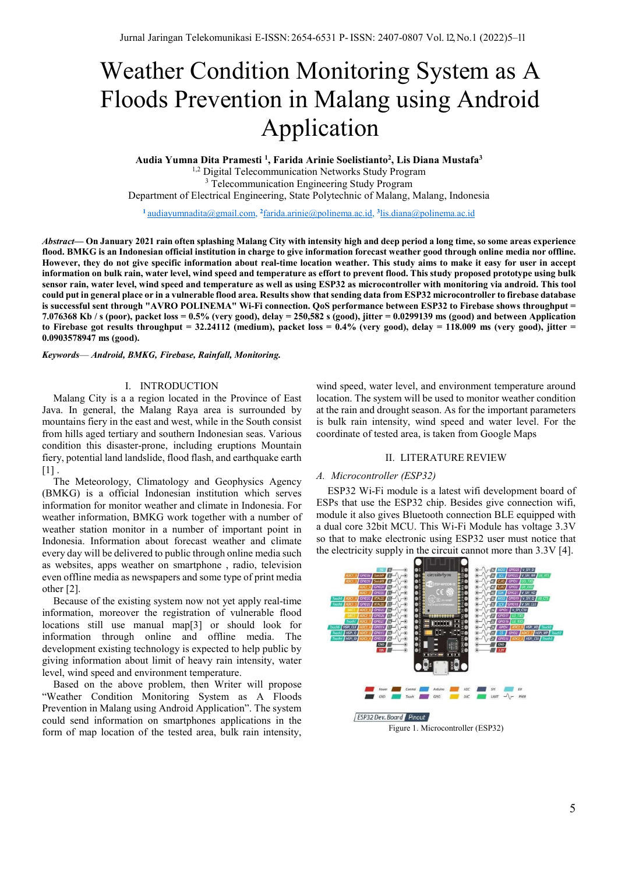# Weather Condition Monitoring System as A Floods Prevention in Malang using Android Application

**Audia Yumna Dita Pramesti <sup>1</sup> , Farida Arinie Soelistianto2 , Lis Diana Mustafa3** <sup>1,2</sup> Digital Telecommunication Networks Study Program <sup>3</sup> Telecommunication Engineering Study Program Department of Electrical Engineering, State Polytechnic of Malang, Malang, Indonesia

**<sup>1</sup>**audiayumnadita@gmail.com, **<sup>2</sup>**farida.arinie@polinema.ac.id, **<sup>3</sup>** lis.diana@polinema.ac.id

*Abstract***— On January 2021 rain often splashing Malang City with intensity high and deep period a long time, so some areas experience flood. BMKG is an Indonesian official institution in charge to give information forecast weather good through online media nor offline. However, they do not give specific information about real-time location weather. This study aims to make it easy for user in accept information on bulk rain, water level, wind speed and temperature as effort to prevent flood. This study proposed prototype using bulk sensor rain, water level, wind speed and temperature as well as using ESP32 as microcontroller with monitoring via android. This tool could put in general place or in a vulnerable flood area. Results show that sending data from ESP32 microcontroller to firebase database is successful sent through "AVRO POLINEMA" Wi-Fi connection. QoS performance between ESP32 to Firebase shows throughput = 7.076368 Kb / s (poor), packet loss = 0.5% (very good), delay = 250,582 s (good), jitter = 0.0299139 ms (good) and between Application**  to Firebase got results throughput =  $32.24112$  (medium), packet loss =  $0.4\%$  (very good), delay =  $118.009$  ms (very good), jitter = **0.0903578947 ms (good).**

*Keywords*— *Android, BMKG, Firebase, Rainfall, Monitoring.*

## I. INTRODUCTION

Malang City is a a region located in the Province of East Java. In general, the Malang Raya area is surrounded by mountains fiery in the east and west, while in the South consist from hills aged tertiary and southern Indonesian seas. Various condition this disaster-prone, including eruptions Mountain fiery, potential land landslide, flood flash, and earthquake earth  $[1]$ .

The Meteorology, Climatology and Geophysics Agency (BMKG) is a official Indonesian institution which serves information for monitor weather and climate in Indonesia. For weather information, BMKG work together with a number of weather station monitor in a number of important point in Indonesia. Information about forecast weather and climate every day will be delivered to public through online media such as websites, apps weather on smartphone , radio, television even offline media as newspapers and some type of print media other [2].

Because of the existing system now not yet apply real-time information, moreover the registration of vulnerable flood locations still use manual map[3] or should look for information through online and offline media. The development existing technology is expected to help public by giving information about limit of heavy rain intensity, water level, wind speed and environment temperature.

Based on the above problem, then Writer will propose "Weather Condition Monitoring System as A Floods Prevention in Malang using Android Application". The system could send information on smartphones applications in the form of map location of the tested area, bulk rain intensity,

wind speed, water level, and environment temperature around location. The system will be used to monitor weather condition at the rain and drought season. As for the important parameters is bulk rain intensity, wind speed and water level. For the coordinate of tested area, is taken from Google Maps

## II. LITERATURE REVIEW

## *A. Microcontroller (ESP32)*

ESP32 Wi-Fi module is a latest wifi development board of ESPs that use the ESP32 chip. Besides give connection wifi, module it also gives Bluetooth connection BLE equipped with a dual core 32bit MCU. This Wi-Fi Module has voltage 3.3V so that to make electronic using ESP32 user must notice that the electricity supply in the circuit cannot more than 3.3V [4].

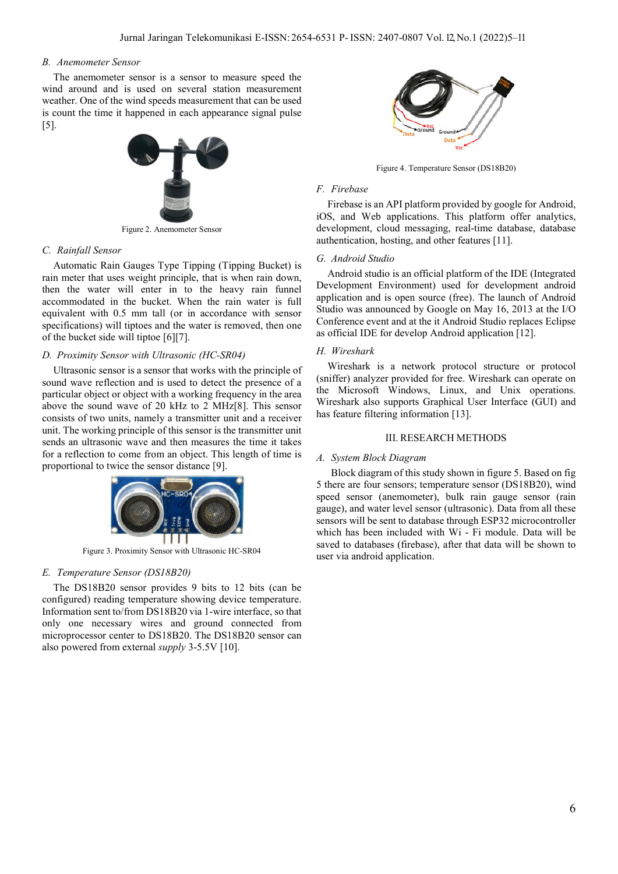## *B. Anemometer Sensor*

The anemometer sensor is a sensor to measure speed the wind around and is used on several station measurement weather. One of the wind speeds measurement that can be used is count the time it happened in each appearance signal pulse [5].

![](_page_1_Picture_3.jpeg)

Figure 2. Anemometer Sensor

#### *C. Rainfall Sensor*

Automatic Rain Gauges Type Tipping (Tipping Bucket) is rain meter that uses weight principle, that is when rain down, then the water will enter in to the heavy rain funnel accommodated in the bucket. When the rain water is full equivalent with 0.5 mm tall (or in accordance with sensor specifications) will tiptoes and the water is removed, then one of the bucket side will tiptoe [6][7].

## *D. Proximity Sensor with Ultrasonic (HC-SR04)*

Ultrasonic sensor is a sensor that works with the principle of sound wave reflection and is used to detect the presence of a particular object or object with a working frequency in the area above the sound wave of 20 kHz to 2 MHz[8]. This sensor consists of two units, namely a transmitter unit and a receiver unit. The working principle of this sensor is the transmitter unit sends an ultrasonic wave and then measures the time it takes for a reflection to come from an object. This length of time is proportional to twice the sensor distance [9].

![](_page_1_Picture_9.jpeg)

Figure 3. Proximity Sensor with Ultrasonic HC-SR04

## *E. Temperature Sensor (DS18B20)*

The DS18B20 sensor provides 9 bits to 12 bits (can be configured) reading temperature showing device temperature. Information sent to/from DS18B20 via 1-wire interface, so that only one necessary wires and ground connected from microprocessor center to DS18B20. The DS18B20 sensor can also powered from external *supply* 3-5.5V [10].

![](_page_1_Picture_13.jpeg)

Figure 4. Temperature Sensor (DS18B20)

## *F. Firebase*

Firebase is an API platform provided by google for Android, iOS, and Web applications. This platform offer analytics, development, cloud messaging, real-time database, database authentication, hosting, and other features [11].

## *G. Android Studio*

Android studio is an official platform of the IDE (Integrated Development Environment) used for development android application and is open source (free). The launch of Android Studio was announced by Google on May 16, 2013 at the I/O Conference event and at the it Android Studio replaces Eclipse as official IDE for develop Android application [12].

#### *H. Wireshark*

Wireshark is a network protocol structure or protocol (sniffer) analyzer provided for free. Wireshark can operate on the Microsoft Windows, Linux, and Unix operations. Wireshark also supports Graphical User Interface (GUI) and has feature filtering information [13].

## III. RESEARCH METHODS

## *A. System Block Diagram*

Block diagram of this study shown in figure 5. Based on fig 5 there are four sensors; temperature sensor (DS18B20), wind speed sensor (anemometer), bulk rain gauge sensor (rain gauge), and water level sensor (ultrasonic). Data from all these sensors will be sent to database through ESP32 microcontroller which has been included with Wi - Fi module. Data will be saved to databases (firebase), after that data will be shown to user via android application.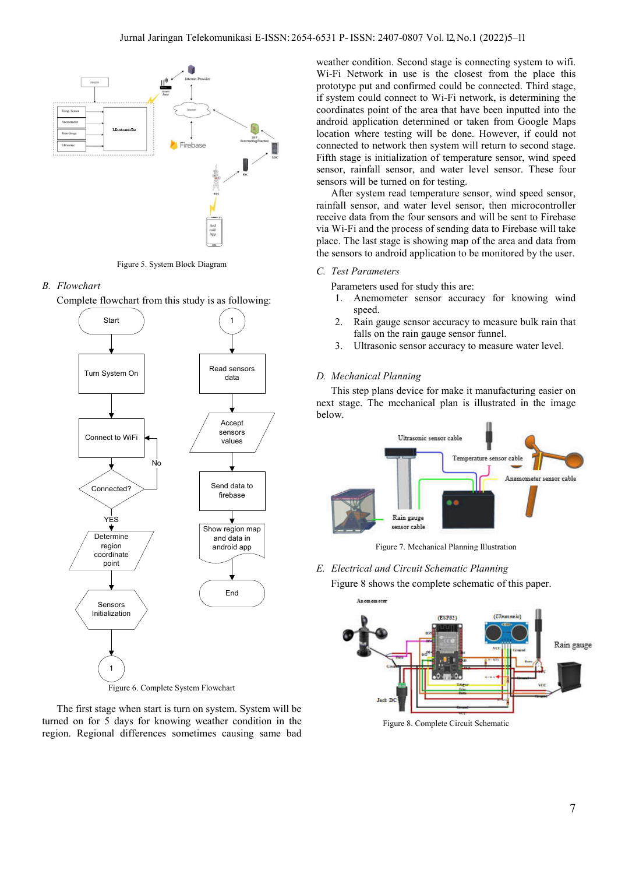![](_page_2_Figure_1.jpeg)

Figure 5. System Block Diagram

## *B. Flowchart*

![](_page_2_Figure_4.jpeg)

![](_page_2_Figure_5.jpeg)

The first stage when start is turn on system. System will be turned on for 5 days for knowing weather condition in the region. Regional differences sometimes causing same bad weather condition. Second stage is connecting system to wifi. Wi-Fi Network in use is the closest from the place this prototype put and confirmed could be connected. Third stage, if system could connect to Wi-Fi network, is determining the coordinates point of the area that have been inputted into the android application determined or taken from Google Maps location where testing will be done. However, if could not connected to network then system will return to second stage. Fifth stage is initialization of temperature sensor, wind speed sensor, rainfall sensor, and water level sensor. These four sensors will be turned on for testing.

After system read temperature sensor, wind speed sensor, rainfall sensor, and water level sensor, then microcontroller receive data from the four sensors and will be sent to Firebase via Wi-Fi and the process of sending data to Firebase will take place. The last stage is showing map of the area and data from the sensors to android application to be monitored by the user.

# *C. Test Parameters*

Parameters used for study this are:

- 1. Anemometer sensor accuracy for knowing wind speed.
- 2. Rain gauge sensor accuracy to measure bulk rain that falls on the rain gauge sensor funnel.
- 3. Ultrasonic sensor accuracy to measure water level.

# *D. Mechanical Planning*

This step plans device for make it manufacturing easier on next stage. The mechanical plan is illustrated in the image below.

![](_page_2_Figure_16.jpeg)

Figure 7. Mechanical Planning Illustration

*E. Electrical and Circuit Schematic Planning* Figure 8 shows the complete schematic of this paper.

![](_page_2_Figure_19.jpeg)

Figure 8. Complete Circuit Schematic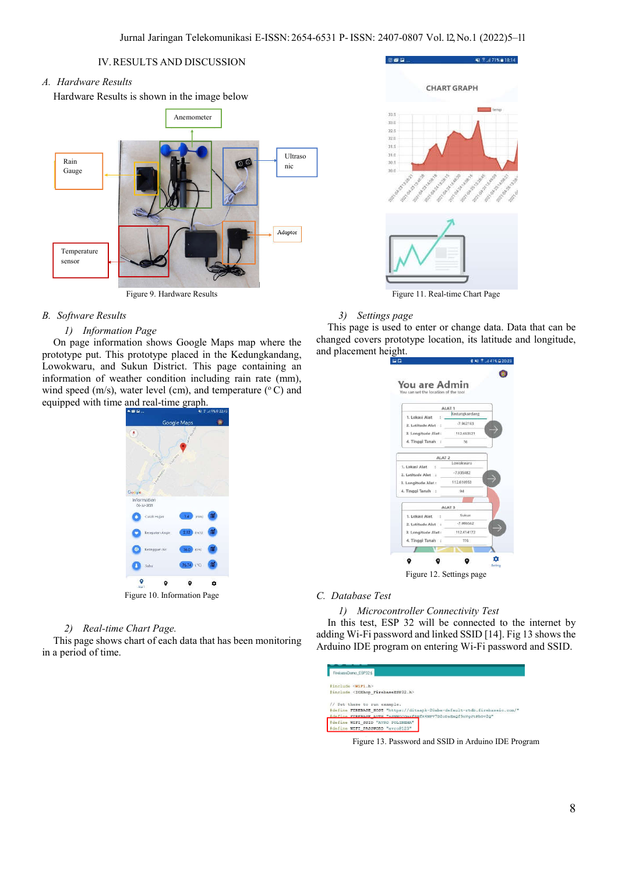# IV.RESULTS AND DISCUSSION

# *A. Hardware Results*

Hardware Results is shown in the image below

![](_page_3_Figure_4.jpeg)

Figure 9. Hardware Results

# *B. Software Results*

# *1) Information Page*

On page information shows Google Maps map where the prototype put. This prototype placed in the Kedungkandang, Lowokwaru, and Sukun District. This page containing an information of weather condition including rain rate (mm), wind speed (m/s), water level (cm), and temperature  $(^{\circ}C)$  and equipped with time and real-time graph.

![](_page_3_Figure_9.jpeg)

## *2) Real-time Chart Page.*

This page shows chart of each data that has been monitoring in a period of time.

![](_page_3_Figure_12.jpeg)

ME 9: U.71% = 18-14

Figure 11. Real-time Chart Page

## *3) Settings page*

**15:00 L** 

This page is used to enter or change data. Data that can be changed covers prototype location, its latitude and longitude, and placement height.

| ALAT 1<br>Kedungkandang<br>1. Lokasi Aiat<br>$-7.962383$<br>2. Latitude Atat<br>3. Longitude Alat:<br>112,663521<br>4. Tinggi Tanah<br>36<br>ALAT <sub>2</sub><br>Lowokwana<br>$-7.935483$<br>112,616953<br>94<br>ALAT 3<br><b>Sukum</b><br>1. Lokasi Alat<br>÷ |                    |             |
|-----------------------------------------------------------------------------------------------------------------------------------------------------------------------------------------------------------------------------------------------------------------|--------------------|-------------|
|                                                                                                                                                                                                                                                                 |                    |             |
|                                                                                                                                                                                                                                                                 |                    |             |
|                                                                                                                                                                                                                                                                 |                    |             |
|                                                                                                                                                                                                                                                                 |                    |             |
|                                                                                                                                                                                                                                                                 |                    |             |
|                                                                                                                                                                                                                                                                 |                    |             |
|                                                                                                                                                                                                                                                                 | 1. Lokasi Alat     |             |
|                                                                                                                                                                                                                                                                 | 2. Latitude Alat   |             |
|                                                                                                                                                                                                                                                                 | 3. Longitude Alat: |             |
|                                                                                                                                                                                                                                                                 | 4. Tinggi Tanah :: |             |
|                                                                                                                                                                                                                                                                 |                    |             |
|                                                                                                                                                                                                                                                                 |                    |             |
|                                                                                                                                                                                                                                                                 | 2. Latitude Alat   | $-7.986662$ |
| 3. Longitude Alat:<br>112.654172                                                                                                                                                                                                                                |                    |             |
| 4. Tinggi Tanah<br>116                                                                                                                                                                                                                                          |                    |             |
|                                                                                                                                                                                                                                                                 |                    |             |
|                                                                                                                                                                                                                                                                 |                    |             |

## *C. Database Test*

## *1) Microcontroller Connectivity Test*

In this test, ESP 32 will be connected to the internet by adding Wi-Fi password and linked SSID [14]. Fig 13 shows the Arduino IDE program on entering Wi-Fi password and SSID.

| FirebaseDemo ESP32 6                                                       |
|----------------------------------------------------------------------------|
| #include <wifi.h></wifi.h>                                                 |
| #include <ioxhop firebaseesp32.h=""></ioxhop>                              |
| // Set these to run example.                                               |
| #define FIREBASE HOST "https://ditaapk-20abe-default-rtdb.firebaseio.com/" |
| #define FIREBASE AUTH "sSNWOCOmzfRMfX4NPV7D2oDaEmOf9nVgJtPhOv2O"           |
| #define WIFI SSID "AVRO POLINEMA"                                          |
| #define WIFI PASSWORD "avro@123"                                           |

Figure 13. Password and SSID in Arduino IDE Program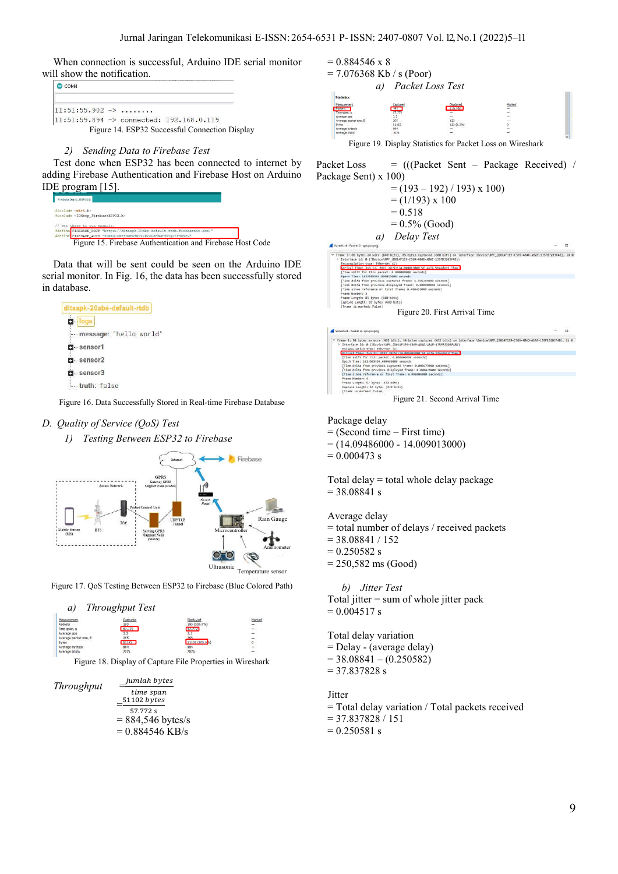When connection is successful, Arduino IDE serial monitor will show the notification.

| COM <sub>4</sub>                            |                                                |
|---------------------------------------------|------------------------------------------------|
| $11:51:55.902 \rightarrow \ldots \ldots$    |                                                |
| $ 11:51:59.894$ -> connected: 192.168.0.119 |                                                |
|                                             | Figure 14. ESP32 Successful Connection Display |

## *2) Sending Data to Firebase Test*

Test done when ESP32 has been connected to internet by adding Firebase Authentication and Firebase Host on Arduino IDE program [15].

| FirebaseDemo_ESP32&                                                        |  |
|----------------------------------------------------------------------------|--|
| finclude <wifi.h></wifi.h>                                                 |  |
| #include <ioxhop_firebaseesp32.h></ioxhop_firebaseesp32.h>                 |  |
| Set these to run example.                                                  |  |
| #define FIREBASE HOST "https://ditaapk-20abe-default-rtdb.firebaseic.com/" |  |
| #define FIREBASE AUTH "sSNWOCQmzfRMfX4NPV7D2oDaEmQf9nVqJtPhOv2Q"           |  |
| Figure 15. Firebase Authentication and Firebase Host Code                  |  |

Data that will be sent could be seen on the Arduino IDE serial monitor. In Fig. 16, the data has been successfully stored in database.

![](_page_4_Figure_7.jpeg)

Figure 16. Data Successfully Stored in Real-time Firebase Database

# *D. Quality of Service (QoS) Test*

*1) Testing Between ESP32 to Firebase*

![](_page_4_Figure_11.jpeg)

Figure 17. QoS Testing Between ESP32 to Firebase (Blue Colored Path)

![](_page_4_Figure_13.jpeg)

Figure 18. Display of Capture File Properties in Wireshark

*Throughput* = jumlah bytes time span  $=\frac{51102 \text{ bytes}}{57.773 \text{ s}}$  $57.772 s$  $= 884,546$  bytes/s  $= 0.884546$  KB/s  $= 0.884546$  x 8  $= 7.076368$  Kb / s (Poor) *a) Packet Loss Test*

Figure 19. Display Statistics for Packet Loss on Wireshark

Packet Loss = (((Packet Sent – Package Received) / Package Sent) x 100)

![](_page_4_Figure_19.jpeg)

![](_page_4_Figure_20.jpeg)

Figure 21. Second Arrival Time

Package delay

= (Second time – First time)

 $= (14.09486000 - 14.009013000)$ 

 $= 0.000473$  s

Total delay = total whole delay package  $= 38.08841 s$ 

Average delay

= total number of delays / received packets

 $= 38.08841 / 152$ 

 $= 0.250582$  s

= 250,582 ms (Good)

*b) Jitter Test*

Total jitter = sum of whole jitter pack  $= 0.004517 s$ 

Total delay variation = Delay - (average delay)  $= 38.08841 - (0.250582)$ 

 $= 37.837828$  s

Jitter

= Total delay variation / Total packets received  $= 37.837828 / 151$ 

 $= 0.250581 s$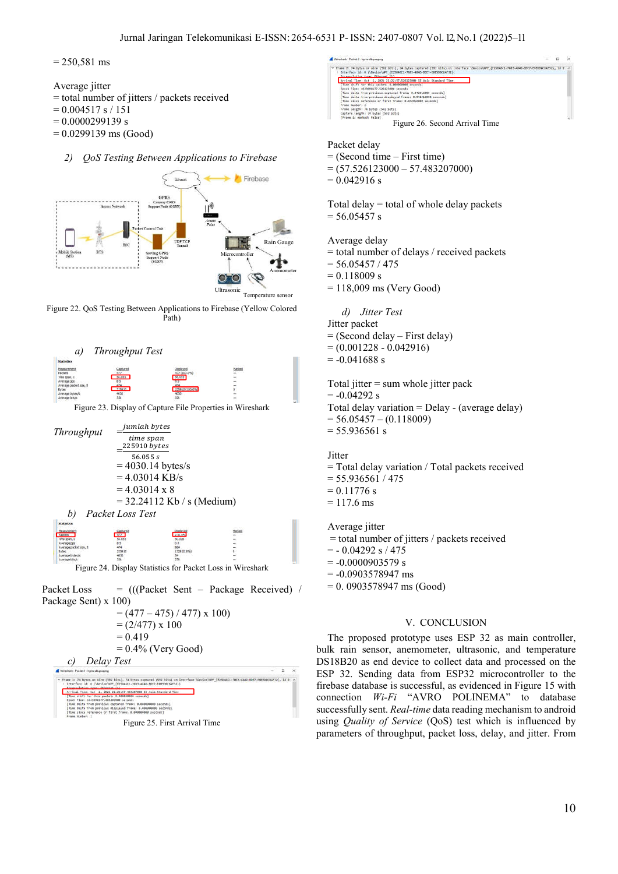$= 250,581$  ms

- Average jitter
- = total number of jitters / packets received
- $= 0.004517 s / 151$
- $= 0.0000299139 s$
- $= 0.0299139 \text{ ms}$  (Good)

# *2) QoS Testing Between Applications to Firebase*

![](_page_5_Figure_8.jpeg)

Figure 22. QoS Testing Between Applications to Firebase (Yellow Colored Path)

![](_page_5_Figure_10.jpeg)

Figure 23. Display of Capture File Properties in Wireshark

![](_page_5_Figure_12.jpeg)

Figure 24. Display Statistics for Packet Loss in Wireshark

Packet Loss = (((Packet Sent – Package Received) / Package Sent) x 100)

![](_page_5_Figure_15.jpeg)

Figure 25. First Arrival Time

![](_page_5_Figure_17.jpeg)

## Packet delay

 $=$  (Second time – First time)

 $= (57.526123000 - 57.483207000)$ 

 $= 0.042916$  s

Total delay = total of whole delay packets  $= 56.05457$  s

Average delay

= total number of delays / received packets

 $= 56.05457 / 475$ 

 $= 0.118009 s$ 

 $= 118,009$  ms (Very Good)

*d) Jitter Test*

Jitter packet = (Second delay – First delay)  $= (0.001228 - 0.042916)$  $= -0.041688$  s

Total jitter  $=$  sum whole jitter pack  $= -0.04292$  s Total delay variation = Delay - (average delay)  $= 56.05457 - (0.118009)$  $= 55.936561 s$ 

**Jitter** = Total delay variation / Total packets received  $= 55.936561 / 475$  $= 0.11776$  s  $= 117.6$  ms

Average jitter = total number of jitters / packets received  $= -0.04292 s / 475$  $= -0.0000903579$  s  $= -0.0903578947$  ms = 0. 0903578947 ms (Good)

# V. CONCLUSION

The proposed prototype uses ESP 32 as main controller, bulk rain sensor, anemometer, ultrasonic, and temperature DS18B20 as end device to collect data and processed on the ESP 32. Sending data from ESP32 microcontroller to the firebase database is successful, as evidenced in Figure 15 with connection *Wi-Fi* "AVRO POLINEMA" to database successfully sent. *Real-time* data reading mechanism to android using *Quality of Service* (QoS) test which is influenced by parameters of throughput, packet loss, delay, and jitter. From